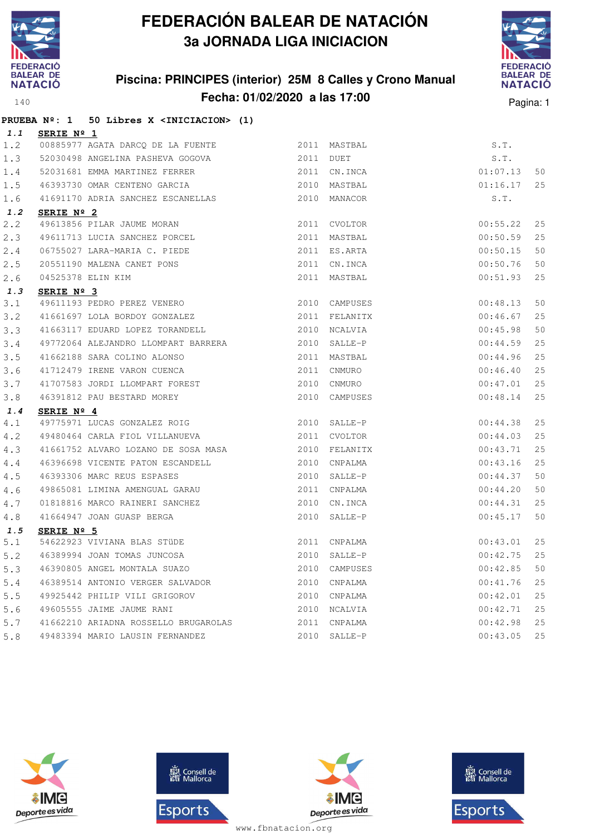

**PRUEBA Nº: 1 50 Libres X <INICIACION> (1)**

# **FEDERACIÓN BALEAR DE NATACIÓN 3a JORNADA LIGA INICIACION**

#### **Piscina: PRINCIPES (interior) 25M 8 Calles y Crono Manual Fecha: 01/02/2020 a las 17:00** Pagina: 1



| 1.1 | SERIE Nº 1                                                                                                                                                          |      |               |          |    |
|-----|---------------------------------------------------------------------------------------------------------------------------------------------------------------------|------|---------------|----------|----|
| 1.2 | 00885977 AGATA DARCQ DE LA FUENTE                                                                                                                                   |      | 2011 MASTBAL  | S.T.     |    |
| 1.3 | 52030498 ANGELINA PASHEVA GOGOVA 2011 DUET                                                                                                                          |      |               | S.T.     |    |
| 1.4 | 52031681 EMMA MARTINEZ FERRER                                                                                                                                       |      | 2011 CN.INCA  | 01:07.13 | 50 |
| 1.5 | 46393730 OMAR CENTENO GARCIA                                                                                                                                        |      | 2010 MASTBAL  | 01:16.17 | 25 |
| 1.6 | 41691170 ADRIA SANCHEZ ESCANELLAS                                                                                                                                   |      | 2010 MANACOR  | S.T.     |    |
| 1.2 | SERIE Nº 2                                                                                                                                                          |      |               |          |    |
| 2.2 |                                                                                                                                                                     |      | 2011 CVOLTOR  | 00:55.22 | 25 |
| 2.3 |                                                                                                                                                                     |      | 2011 MASTBAL  | 00:50.59 | 25 |
| 2.4 |                                                                                                                                                                     |      | 2011 ES.ARTA  | 00:50.15 | 50 |
| 2.5 |                                                                                                                                                                     |      | 2011 CN.INCA  | 00:50.76 | 50 |
| 2.6 | 49613856 PILAR JAUME MORAN<br>49611713 LUCIA SANCHEZ PORCEL<br>06755027 LARA-MARIA C. PIEDE<br>20551190 MALENA CANET PONS<br>04525378 ELIN KIM<br><b>SERIE Nº 3</b> |      | 2011 MASTBAL  | 00:51.93 | 25 |
| 1.3 | SERIE Nº 3                                                                                                                                                          |      |               |          |    |
| 3.1 | 49611193 PEDRO PEREZ VENERO                                                                                                                                         |      | 2010 CAMPUSES | 00:48.13 | 50 |
| 3.2 | 41661697 LOLA BORDOY GONZALEZ                                                                                                                                       |      | 2011 FELANITX | 00:46.67 | 25 |
| 3.3 | 41663117 EDUARD LOPEZ TORANDELL                                                                                                                                     |      | 2010 NCALVIA  | 00:45.98 | 50 |
| 3.4 | 49772064 ALEJANDRO LLOMPART BARRERA                                                                                                                                 | 2010 | SALLE-P       | 00:44.59 | 25 |
| 3.5 | 41662188 SARA COLINO ALONSO                                                                                                                                         |      | 2011 MASTBAL  | 00:44.96 | 25 |
| 3.6 | 41712479 IRENE VARON CUENCA                                                                                                                                         |      | 2011 CNMURO   | 00:46.40 | 25 |
| 3.7 | 41707583 JORDI LLOMPART FOREST                                                                                                                                      |      | 2010 CNMURO   | 00:47.01 | 25 |
| 3.8 | 46391812 PAU BESTARD MOREY                                                                                                                                          |      | 2010 CAMPUSES | 00:48.14 | 25 |
| 1.4 | SERIE Nº 4                                                                                                                                                          |      |               |          |    |
| 4.1 | 49775971 LUCAS GONZALEZ ROIG                                                                                                                                        |      | 2010 SALLE-P  | 00:44.38 | 25 |
| 4.2 | 49480464 CARLA FIOL VILLANUEVA                                                                                                                                      |      | 2011 CVOLTOR  | 00:44.03 | 25 |
| 4.3 | 41661752 ALVARO LOZANO DE SOSA MASA                                                                                                                                 |      | 2010 FELANITX | 00:43.71 | 25 |
| 4.4 | 46396698 VICENTE PATON ESCANDELL                                                                                                                                    |      | 2010 CNPALMA  | 00:43.16 | 25 |
| 4.5 | 46393306 MARC REUS ESPASES                                                                                                                                          |      | 2010 SALLE-P  | 00:44.37 | 50 |
| 4.6 | 49865081 LIMINA AMENGUAL GARAU                                                                                                                                      |      | 2011 CNPALMA  | 00:44.20 | 50 |
| 4.7 | 01818816 MARCO RAINERI SANCHEZ                                                                                                                                      | 2010 | CN.INCA       | 00:44.31 | 25 |
| 4.8 | 41664947 JOAN GUASP BERGA                                                                                                                                           |      | 2010 SALLE-P  | 00:45.17 | 50 |
| 1.5 | SERIE Nº 5                                                                                                                                                          |      |               |          |    |
| 5.1 | 54622923 VIVIANA BLAS STÜDE                                                                                                                                         |      | 2011 CNPALMA  | 00:43.01 | 25 |
| 5.2 | 46389994 JOAN TOMAS JUNCOSA                                                                                                                                         |      | 2010 SALLE-P  | 00:42.75 | 25 |
| 5.3 | 46390805 ANGEL MONTALA SUAZO                                                                                                                                        |      | 2010 CAMPUSES | 00:42.85 | 50 |
| 5.4 | 46389514 ANTONIO VERGER SALVADOR                                                                                                                                    |      | 2010 CNPALMA  | 00:41.76 | 25 |
| 5.5 | 49925442 PHILIP VILI GRIGOROV                                                                                                                                       |      | 2010 CNPALMA  | 00:42.01 | 25 |
| 5.6 | 49605555 JAIME JAUME RANI                                                                                                                                           |      | 2010 NCALVIA  | 00:42.71 | 25 |
| 5.7 | 41662210 ARIADNA ROSSELLO BRUGAROLAS                                                                                                                                |      | 2011 CNPALMA  | 00:42.98 | 25 |
| 5.8 | 49483394 MARIO LAUSIN FERNANDEZ                                                                                                                                     |      | 2010 SALLE-P  | 00:43.05 | 25 |







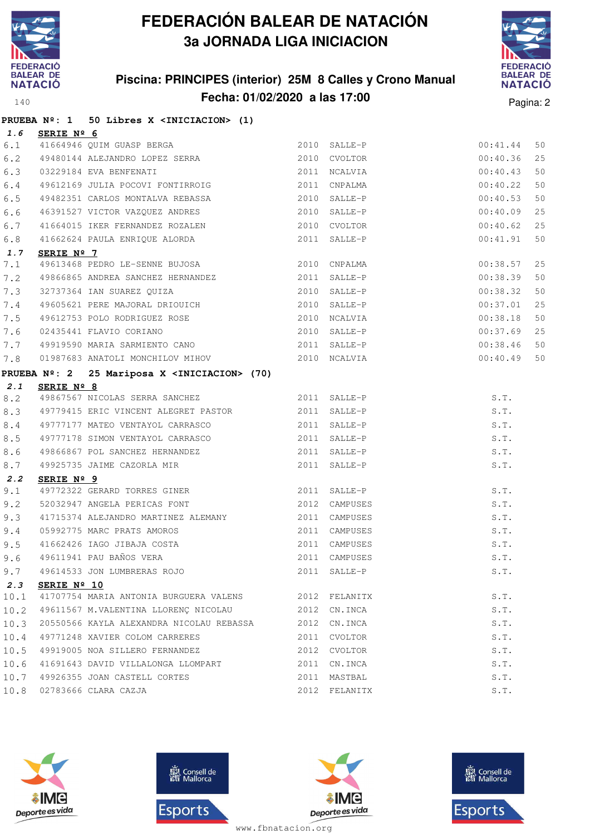

# **FEDERACIÓN BALEAR DE NATACIÓN 3a JORNADA LIGA INICIACION**

#### **Piscina: PRINCIPES (interior) 25M 8 Calles y Crono Manual Fecha: 01/02/2020 a las 17:00** Pagina: 2



|      |                      | PRUEBA Nº: 1 50 Libres X <iniciacion> (1)</iniciacion>                                                                                                                                                                                                                              |              |               |             |    |
|------|----------------------|-------------------------------------------------------------------------------------------------------------------------------------------------------------------------------------------------------------------------------------------------------------------------------------|--------------|---------------|-------------|----|
|      | 1.6 SERIE Nº 6       |                                                                                                                                                                                                                                                                                     |              |               |             |    |
|      |                      | 41664946 QUIM GUASP BERGA 2010 SALLE-P<br>49480144 ALEJANDRO LOPEZ SERRA 2010 CVOLTOR<br>6.1 41664946 QUIM GUASP BERGA 2010 SALLE-P                                                                                                                                                 |              |               | 00:41.44    | 50 |
| 6.2  |                      |                                                                                                                                                                                                                                                                                     |              |               | 00:40.36    | 25 |
| 6.3  |                      | 03229184 EVA BENFENATI                                                                                                                                                                                                                                                              | 2011 NCALVIA |               | 00:40.43    | 50 |
| 6.4  |                      | 49612169 JULIA POCOVI FONTIRROIG 2011 CNPALMA                                                                                                                                                                                                                                       |              |               | 00:40.22    | 50 |
| 6.5  |                      | 49482351 CARLOS MONTALVA REBASSA 2010 SALLE-P                                                                                                                                                                                                                                       |              |               | 00:40.53    | 50 |
| 6.6  |                      | 46391527 VICTOR VAZQUEZ ANDRES 2010 SALLE-P                                                                                                                                                                                                                                         |              |               | 00:40.09    | 25 |
| 6.7  |                      | 41664015 IKER FERNANDEZ ROZALEN 2010 CVOLTOR                                                                                                                                                                                                                                        |              |               | 00:40.62    | 25 |
| 6.8  |                      | 41662624 PAULA ENRIQUE ALORDA 2011 SALLE-P                                                                                                                                                                                                                                          |              |               | 00:41.91    | 50 |
| 1.7  | SERIE Nº 7           |                                                                                                                                                                                                                                                                                     |              |               |             |    |
| 7.1  |                      | 49613468 PEDRO LE-SENNE BUJOSA 2010 CNPALMA                                                                                                                                                                                                                                         |              |               | 00:38.57    | 25 |
| 7.2  |                      | 49866865 ANDREA SANCHEZ HERNANDEZ 2011 SALLE-P                                                                                                                                                                                                                                      |              |               | 00:38.39    | 50 |
|      |                      |                                                                                                                                                                                                                                                                                     |              |               | 00:38.32    | 50 |
|      |                      | 49605621 PERE MAJORAL DRIOUICH<br>49612753 POLO RODRIGUEZ ROSE 2010 NCALVIA<br>02435441 FLAVIO CORIANO 2010 SALLE-P                                                                                                                                                                 |              |               | 00:37.01    | 25 |
| 7.5  |                      |                                                                                                                                                                                                                                                                                     |              |               | 00:38.18    | 50 |
| 7.6  |                      |                                                                                                                                                                                                                                                                                     |              |               | 00:37.69    | 25 |
| 7.7  |                      | 49919590 MARIA SARMIENTO CANO 2011 SALLE-P                                                                                                                                                                                                                                          |              |               | 00:38.46 50 |    |
| 7.8  |                      | 01987683 ANATOLI MONCHILOV MIHOV 2010 NCALVIA                                                                                                                                                                                                                                       |              |               | 00:40.49 50 |    |
|      |                      | PRUEBA Nº: 2 25 Mariposa X <iniciacion> (70)<br/>Nº: 2 25 Mariposa X <iniciacion (nº)="" 2="" 2011="" 25="" <iniciacion="" mariposa="" salle-p<br="" x="">49867567 NICOLAS SERRA SANCHEZ (2011 SALLE-P<br/>2011 SALLE-P<br/>2011 SALLE-P<br/>2011 SALLE-P</iniciacion></iniciacion> |              |               |             |    |
| 2.1  |                      |                                                                                                                                                                                                                                                                                     |              |               |             |    |
| 8.2  |                      |                                                                                                                                                                                                                                                                                     |              |               | S.T.        |    |
| 8.3  |                      | 49779415 ERIC VINCENT ALEGRET PASTOR 2011 SALLE-P                                                                                                                                                                                                                                   |              |               | S.T.        |    |
| 8.4  |                      |                                                                                                                                                                                                                                                                                     |              |               | S.T.        |    |
| 8.5  |                      |                                                                                                                                                                                                                                                                                     |              |               | S.T.        |    |
| 8.6  |                      |                                                                                                                                                                                                                                                                                     |              |               | S.T.        |    |
| 8.7  |                      | $\begin{tabular}{lllllllllll} \it 49866867 & \tt Pol & SANCEEZ & HERNANDEZ & & & & & & 2011 & SALLE-P \\ \it 49925735 & \tt JAIME & CAZORLA & \tt MIR & & & & & 2011 & SALLE-P \\ \end{tabular}$                                                                                    |              |               | S.T.        |    |
| 2.2  | SERIE Nº 9           |                                                                                                                                                                                                                                                                                     |              |               |             |    |
| 9.1  |                      | 49772322 GERARD TORRES GINER<br>49772322 GERARD TORRES GINER<br>2011 SALLE-P                                                                                                                                                                                                        |              |               | S.T.        |    |
| 9.2  |                      | 52032947 ANGELA PERICAS FONT 2012 CAMPUSES                                                                                                                                                                                                                                          |              |               | S.T.        |    |
| 9.3  |                      | 91715374 ALEJANDRO MARTINEZ ALEMANY 2011 CAMPUSES 5.T.<br>95992775 MARC PRATS AMOROS 2011 CAMPUSES 5.T.<br>9611941 PAU BAÑOS VERA 2011 CAMPUSES 5.T.<br>9611941 PAU BAÑOS VERA 2011 CAMPUSES 5.T.                                                                                   |              |               |             |    |
| 9.4  |                      |                                                                                                                                                                                                                                                                                     |              |               |             |    |
| 9.5  |                      |                                                                                                                                                                                                                                                                                     |              |               |             |    |
| 9.6  |                      |                                                                                                                                                                                                                                                                                     |              |               |             |    |
| 9.7  |                      | 49614533 JON LUMBRERAS ROJO                                                                                                                                                                                                                                                         |              | 2011 SALLE-P  | S.T.        |    |
| 2.3  | SERIE $N^{\circ}$ 10 |                                                                                                                                                                                                                                                                                     |              |               |             |    |
| 10.1 |                      | 41707754 MARIA ANTONIA BURGUERA VALENS 2012 FELANITX                                                                                                                                                                                                                                |              |               | S.T.        |    |
| 10.2 |                      | 49611567 M.VALENTINA LLORENÇ NICOLAU 2012 CN.INCA                                                                                                                                                                                                                                   |              |               | S.T.        |    |
| 10.3 |                      | 20550566 KAYLA ALEXANDRA NICOLAU REBASSA 2012 CN.INCA                                                                                                                                                                                                                               |              |               | S.T.        |    |
| 10.4 |                      | 49771248 XAVIER COLOM CARRERES                                                                                                                                                                                                                                                      |              | 2011 CVOLTOR  | S.T.        |    |
| 10.5 |                      | 49919005 NOA SILLERO FERNANDEZ                                                                                                                                                                                                                                                      |              | 2012 CVOLTOR  | S.T.        |    |
| 10.6 |                      | 41691643 DAVID VILLALONGA LLOMPART                                                                                                                                                                                                                                                  |              | 2011 CN.INCA  | S.T.        |    |
| 10.7 |                      | 49926355 JOAN CASTELL CORTES                                                                                                                                                                                                                                                        |              | 2011 MASTBAL  | S.T.        |    |
| 10.8 |                      | 02783666 CLARA CAZJA                                                                                                                                                                                                                                                                |              | 2012 FELANITX | S.T.        |    |







**感** Consell de Esports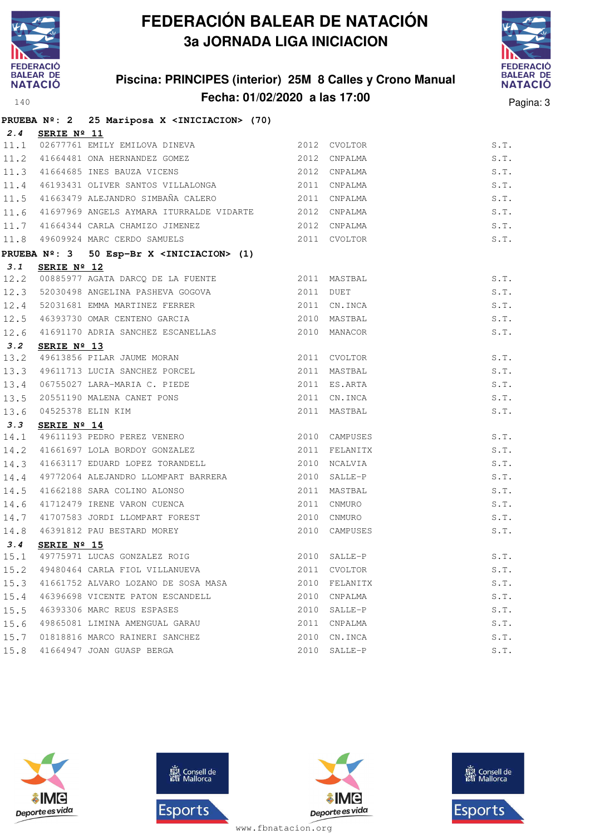

# **FEDERACIÓN BALEAR DE NATACIÓN 3a JORNADA LIGA INICIACION**

#### **Piscina: PRINCIPES (interior) 25M 8 Calles y Crono Manual Fecha: 01/02/2020 a las 17:00** Pagina: 3



|      |             | PRUEBA Nº: 2 25 Mariposa X <iniciacion> (70)</iniciacion>                       |              |               |               |
|------|-------------|---------------------------------------------------------------------------------|--------------|---------------|---------------|
| 2.4  | SERIE Nº 11 |                                                                                 |              |               |               |
|      |             | 11.1 02677761 EMILY EMILOVA DINEVA<br>11.2 41664481 ONA HERNANDEZ GOMEZ         |              | 2012 CVOLTOR  | S.T.          |
|      |             |                                                                                 |              | 2012 CNPALMA  | S.T.          |
|      |             | 11.3 41664685 INES BAUZA VICENS                                                 | 2012 CNPALMA |               | S.T.          |
| 11.4 |             | 46193431 OLIVER SANTOS VILLALONGA 2011 CNPALMA                                  |              |               | S.T.          |
|      |             | 11.5 41663479 ALEJANDRO SIMBAÑA CALERO 2011 CNPALMA                             |              |               | S.T.          |
| 11.6 |             | 41697969 ANGELS AYMARA ITURRALDE VIDARTE 2012 CNPALMA                           |              |               | S.T.          |
| 11.7 |             | 41664344 CARLA CHAMIZO JIMENEZ 2012 CNPALMA                                     |              |               | S.T.          |
| 11.8 |             | 2011 CVOLTOR<br>49609924 MARC CERDO SAMUELS                                     |              |               | S.T.          |
|      |             | PRUEBA Nº: 3 50 Esp-Br X <iniciacion> (1)</iniciacion>                          |              |               |               |
| 3.1  | SERIE Nº 12 |                                                                                 |              |               |               |
|      |             |                                                                                 |              |               | S.T.          |
| 12.3 |             | 52030498 ANGELINA PASHEVA GOGOVA 2011 DUET                                      |              |               | S.T.          |
| 12.4 |             | 52031681 EMMA MARTINEZ FERRER 2011 CN.INCA                                      |              |               | S.T.          |
| 12.5 |             | 46393730 OMAR CENTENO GARCIA                                                    |              | 2010 MASTBAL  | S.T.          |
| 12.6 |             |                                                                                 |              |               | S.T.          |
| 3.2  | SERIE Nº 13 |                                                                                 |              |               |               |
| 13.2 |             | 49613856 PILAR JAUME MORAN                                                      |              | 2011 CVOLTOR  | $S \cdot T$ . |
| 13.3 |             | 49611713 LUCIA SANCHEZ PORCEL                                                   |              | 2011 MASTBAL  | S.T.          |
| 13.4 |             | 06755027 LARA-MARIA C. PIEDE<br>20551190 MALENA CANET PONS<br>04525378 ELIN KIM |              | 2011 ES.ARTA  | S.T.          |
| 13.5 |             |                                                                                 |              | 2011 CN.INCA  | S.T.          |
| 13.6 |             |                                                                                 |              | 2011 MASTBAL  | S.T.          |
| 3.3  | SERIE Nº 14 |                                                                                 |              |               |               |
| 14.1 |             | 49611193 PEDRO PEREZ VENERO<br>49611193 PEDRO PEREZ VENERO 2010 CAMPUSES        |              |               | S.T.          |
| 14.2 |             | 41661697 LOLA BORDOY GONZALEZ                                                   |              | 2011 FELANITX | S.T.          |
| 14.3 |             | 41663117 EDUARD LOPEZ TORANDELL 2010 NCALVIA                                    |              |               | S.T.          |
| 14.4 |             | 49772064 ALEJANDRO LLOMPART BARRERA 2010 SALLE-P                                |              |               | S.T.          |
| 14.5 |             | 41662188 SARA COLINO ALONSO<br>41712479 IRENE VARON CUENCA                      |              | 2011 MASTBAL  | S.T.          |
| 14.6 |             |                                                                                 |              | 2011 CNMURO   | S.T.          |
| 14.7 |             | 41707583 JORDI LLOMPART FOREST 2010 CNMURO                                      |              |               | S.T.          |
| 14.8 |             | 46391812 PAU BESTARD MOREY                                                      |              | 2010 CAMPUSES | S.T.          |
| 3.4  | SERIE Nº 15 |                                                                                 |              |               |               |
|      |             | 15.1 49775971 LUCAS GONZALEZ ROIG                                               |              | 2010 SALLE-P  | S.T.          |
| 15.2 |             | 49480464 CARLA FIOL VILLANUEVA                                                  |              | 2011 CVOLTOR  | S.T.          |
| 15.3 |             | 41661752 ALVARO LOZANO DE SOSA MASA                                             | 2010         | FELANITX      | S.T.          |
| 15.4 |             | 46396698 VICENTE PATON ESCANDELL                                                | 2010         | CNPALMA       | S.T.          |
| 15.5 |             | 46393306 MARC REUS ESPASES                                                      | 2010         | SALLE-P       | S.T.          |
| 15.6 |             | 49865081 LIMINA AMENGUAL GARAU                                                  | 2011         | CNPALMA       | S.T.          |
| 15.7 |             | 01818816 MARCO RAINERI SANCHEZ                                                  | 2010         | CN.INCA       | S.T.          |
| 15.8 |             | 41664947 JOAN GUASP BERGA                                                       |              | 2010 SALLE-P  | S.T.          |